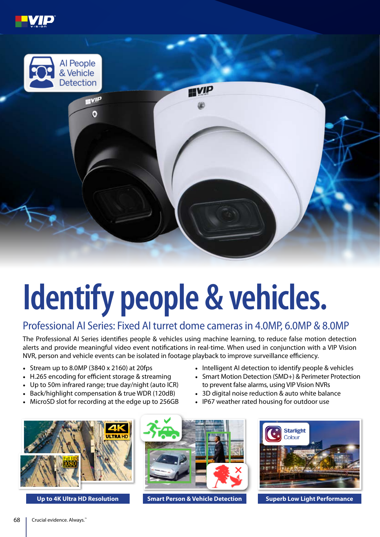



## **Identify people & vehicles.**

## Professional AI Series: Fixed AI turret dome cameras in 4.0MP, 6.0MP & 8.0MP

The Professional AI Series identifies people & vehicles using machine learning, to reduce false motion detection alerts and provide meaningful video event notifications in real-time. When used in conjunction with a VIP Vision NVR, person and vehicle events can be isolated in footage playback to improve surveillance efficiency.

- Stream up to 8.0MP (3840 x 2160) at 20fps
- H.265 encoding for efficient storage & streaming
- Up to 50m infrared range; true day/night (auto ICR)
- Back/highlight compensation & true WDR (120dB)
- MicroSD slot for recording at the edge up to 256GB
- Intelligent AI detection to identify people & vehicles
- Smart Motion Detection (SMD+) & Perimeter Protection to prevent false alarms, using VIP Vision NVRs
- 3D digital noise reduction & auto white balance
- IP67 weather rated housing for outdoor use







**Smart Person & Vehicle Detection Up to 4K Ultra HD Resolution Superb Low Light Performance**